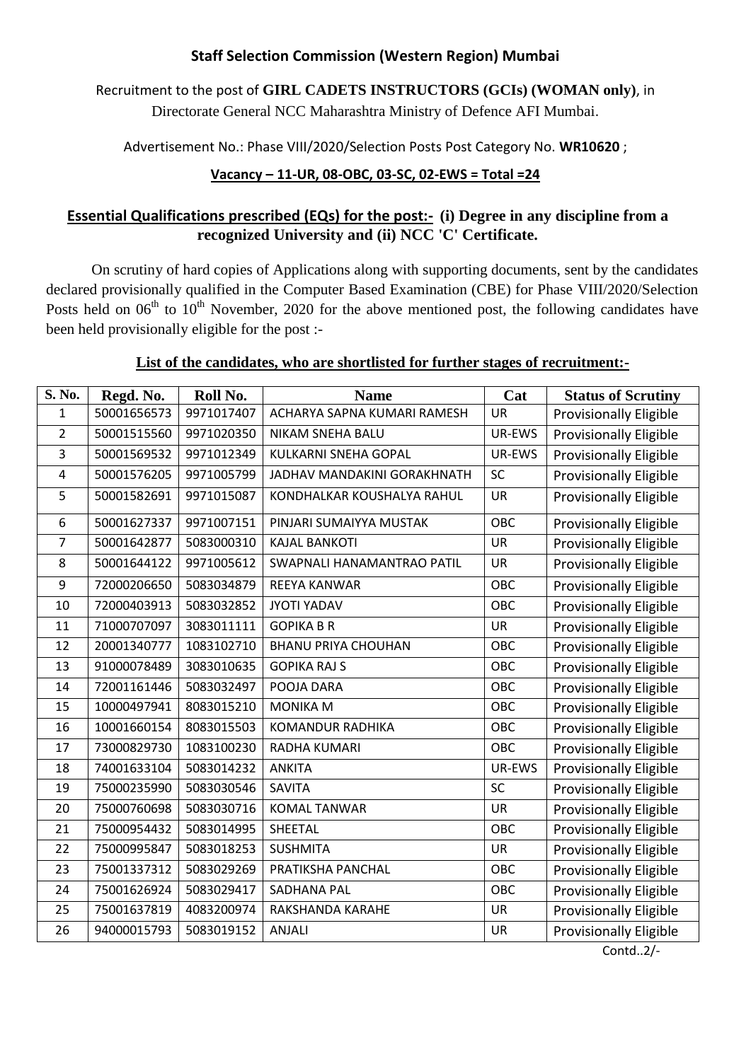## **Staff Selection Commission (Western Region) Mumbai**

Recruitment to the post of **GIRL CADETS INSTRUCTORS (GCIs) (WOMAN only)**, in Directorate General NCC Maharashtra Ministry of Defence AFI Mumbai.

Advertisement No.: Phase VIII/2020/Selection Posts Post Category No. **WR10620** ;

## **Vacancy – 11-UR, 08-OBC, 03-SC, 02-EWS = Total =24**

## **Essential Qualifications prescribed (EQs) for the post:- (i) Degree in any discipline from a recognized University and (ii) NCC 'C' Certificate.**

On scrutiny of hard copies of Applications along with supporting documents, sent by the candidates declared provisionally qualified in the Computer Based Examination (CBE) for Phase VIII/2020/Selection Posts held on  $06<sup>th</sup>$  to  $10<sup>th</sup>$  November, 2020 for the above mentioned post, the following candidates have been held provisionally eligible for the post :-

## **List of the candidates, who are shortlisted for further stages of recruitment:-**

| S. No.         | Regd. No.   | Roll No.   | <b>Name</b>                 | Cat        | <b>Status of Scrutiny</b>     |
|----------------|-------------|------------|-----------------------------|------------|-------------------------------|
| 1              | 50001656573 | 9971017407 | ACHARYA SAPNA KUMARI RAMESH | <b>UR</b>  | <b>Provisionally Eligible</b> |
| $\overline{2}$ | 50001515560 | 9971020350 | <b>NIKAM SNEHA BALU</b>     | UR-EWS     | <b>Provisionally Eligible</b> |
| 3              | 50001569532 | 9971012349 | <b>KULKARNI SNEHA GOPAL</b> | UR-EWS     | <b>Provisionally Eligible</b> |
| $\overline{4}$ | 50001576205 | 9971005799 | JADHAV MANDAKINI GORAKHNATH | SC         | Provisionally Eligible        |
| 5              | 50001582691 | 9971015087 | KONDHALKAR KOUSHALYA RAHUL  | <b>UR</b>  | <b>Provisionally Eligible</b> |
| 6              | 50001627337 | 9971007151 | PINJARI SUMAIYYA MUSTAK     | OBC        | <b>Provisionally Eligible</b> |
| $\overline{7}$ | 50001642877 | 5083000310 | <b>KAJAL BANKOTI</b>        | <b>UR</b>  | <b>Provisionally Eligible</b> |
| 8              | 50001644122 | 9971005612 | SWAPNALI HANAMANTRAO PATIL  | <b>UR</b>  | Provisionally Eligible        |
| 9              | 72000206650 | 5083034879 | <b>REEYA KANWAR</b>         | OBC        | <b>Provisionally Eligible</b> |
| 10             | 72000403913 | 5083032852 | <b>JYOTI YADAV</b>          | <b>OBC</b> | <b>Provisionally Eligible</b> |
| 11             | 71000707097 | 3083011111 | <b>GOPIKA B R</b>           | <b>UR</b>  | <b>Provisionally Eligible</b> |
| 12             | 20001340777 | 1083102710 | <b>BHANU PRIYA CHOUHAN</b>  | OBC        | Provisionally Eligible        |
| 13             | 91000078489 | 3083010635 | <b>GOPIKA RAJ S</b>         | OBC        | <b>Provisionally Eligible</b> |
| 14             | 72001161446 | 5083032497 | POOJA DARA                  | OBC        | Provisionally Eligible        |
| 15             | 10000497941 | 8083015210 | <b>MONIKA M</b>             | OBC        | Provisionally Eligible        |
| 16             | 10001660154 | 8083015503 | <b>KOMANDUR RADHIKA</b>     | OBC        | <b>Provisionally Eligible</b> |
| 17             | 73000829730 | 1083100230 | <b>RADHA KUMARI</b>         | OBC        | <b>Provisionally Eligible</b> |
| 18             | 74001633104 | 5083014232 | <b>ANKITA</b>               | UR-EWS     | Provisionally Eligible        |
| 19             | 75000235990 | 5083030546 | <b>SAVITA</b>               | <b>SC</b>  | <b>Provisionally Eligible</b> |
| 20             | 75000760698 | 5083030716 | <b>KOMAL TANWAR</b>         | <b>UR</b>  | <b>Provisionally Eligible</b> |
| 21             | 75000954432 | 5083014995 | SHEETAL                     | OBC        | <b>Provisionally Eligible</b> |
| 22             | 75000995847 | 5083018253 | <b>SUSHMITA</b>             | <b>UR</b>  | <b>Provisionally Eligible</b> |
| 23             | 75001337312 | 5083029269 | PRATIKSHA PANCHAL           | OBC        | Provisionally Eligible        |
| 24             | 75001626924 | 5083029417 | <b>SADHANA PAL</b>          | <b>OBC</b> | Provisionally Eligible        |
| 25             | 75001637819 | 4083200974 | RAKSHANDA KARAHE            | <b>UR</b>  | <b>Provisionally Eligible</b> |
| 26             | 94000015793 | 5083019152 | ANJALI                      | UR         | Provisionally Eligible        |
|                |             |            |                             |            | Contd2/-                      |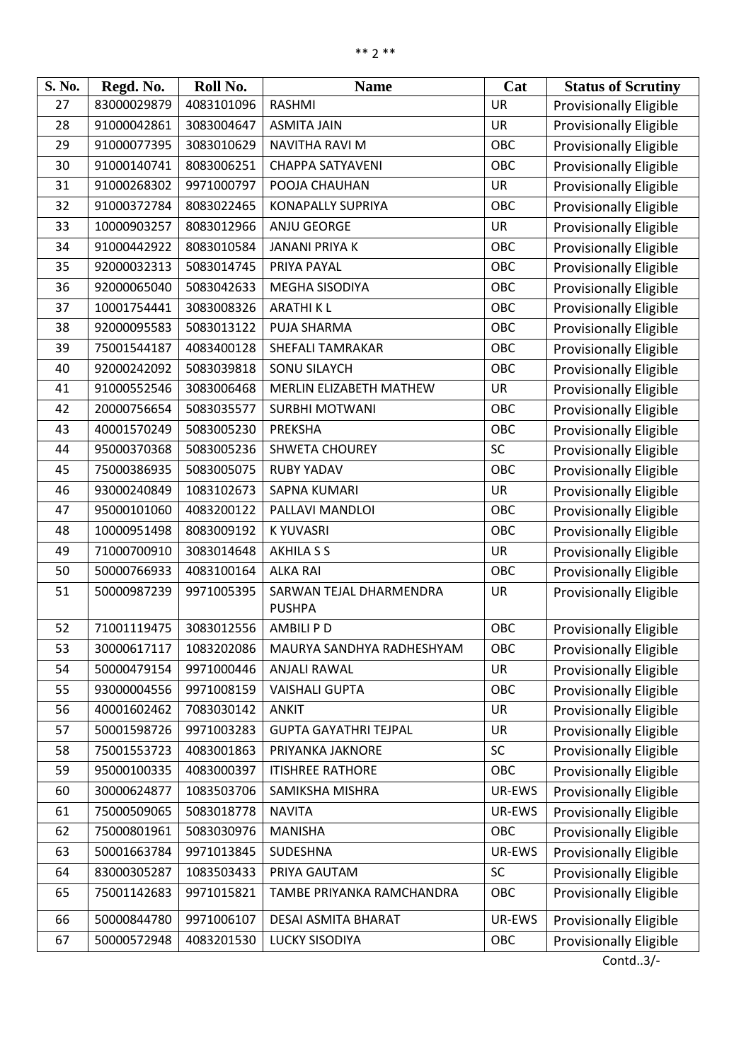| S. No. | Regd. No.   | Roll No.   | <b>Name</b>                              | Cat       | <b>Status of Scrutiny</b>                              |
|--------|-------------|------------|------------------------------------------|-----------|--------------------------------------------------------|
| 27     | 83000029879 | 4083101096 | <b>RASHMI</b>                            | <b>UR</b> | <b>Provisionally Eligible</b>                          |
| 28     | 91000042861 | 3083004647 | <b>ASMITA JAIN</b>                       | UR        | <b>Provisionally Eligible</b>                          |
| 29     | 91000077395 | 3083010629 | <b>NAVITHA RAVI M</b>                    | OBC       | <b>Provisionally Eligible</b>                          |
| 30     | 91000140741 | 8083006251 | <b>CHAPPA SATYAVENI</b>                  | OBC       | Provisionally Eligible                                 |
| 31     | 91000268302 | 9971000797 | POOJA CHAUHAN                            | <b>UR</b> | <b>Provisionally Eligible</b>                          |
| 32     | 91000372784 | 8083022465 | <b>KONAPALLY SUPRIYA</b>                 | OBC       | <b>Provisionally Eligible</b>                          |
| 33     | 10000903257 | 8083012966 | ANJU GEORGE                              | <b>UR</b> | <b>Provisionally Eligible</b>                          |
| 34     | 91000442922 | 8083010584 | <b>JANANI PRIYA K</b>                    | OBC       | <b>Provisionally Eligible</b>                          |
| 35     | 92000032313 | 5083014745 | PRIYA PAYAL                              | OBC       | <b>Provisionally Eligible</b>                          |
| 36     | 92000065040 | 5083042633 | MEGHA SISODIYA                           | OBC       | <b>Provisionally Eligible</b>                          |
| 37     | 10001754441 | 3083008326 | <b>ARATHIKL</b>                          | OBC       | <b>Provisionally Eligible</b>                          |
| 38     | 92000095583 | 5083013122 | PUJA SHARMA                              | OBC       | Provisionally Eligible                                 |
| 39     | 75001544187 | 4083400128 | <b>SHEFALI TAMRAKAR</b>                  | OBC       | <b>Provisionally Eligible</b>                          |
| 40     | 92000242092 | 5083039818 | <b>SONU SILAYCH</b>                      | OBC       | <b>Provisionally Eligible</b>                          |
| 41     | 91000552546 | 3083006468 | MERLIN ELIZABETH MATHEW                  | <b>UR</b> | Provisionally Eligible                                 |
| 42     | 20000756654 | 5083035577 | <b>SURBHI MOTWANI</b>                    | OBC       | <b>Provisionally Eligible</b>                          |
| 43     | 40001570249 | 5083005230 | PREKSHA                                  | OBC       | <b>Provisionally Eligible</b>                          |
| 44     | 95000370368 | 5083005236 | <b>SHWETA CHOUREY</b>                    | SC        | Provisionally Eligible                                 |
| 45     | 75000386935 | 5083005075 | <b>RUBY YADAV</b>                        | OBC       | <b>Provisionally Eligible</b>                          |
| 46     | 93000240849 | 1083102673 | <b>SAPNA KUMARI</b>                      | <b>UR</b> | Provisionally Eligible                                 |
| 47     | 95000101060 | 4083200122 | PALLAVI MANDLOI                          | OBC       | Provisionally Eligible                                 |
| 48     | 10000951498 | 8083009192 | <b>KYUVASRI</b>                          | OBC       | <b>Provisionally Eligible</b>                          |
| 49     | 71000700910 | 3083014648 | <b>AKHILA S S</b>                        | <b>UR</b> | <b>Provisionally Eligible</b>                          |
| 50     | 50000766933 | 4083100164 | <b>ALKA RAI</b>                          | OBC       | Provisionally Eligible                                 |
| 51     | 50000987239 | 9971005395 | SARWAN TEJAL DHARMENDRA<br><b>PUSHPA</b> | UR        | <b>Provisionally Eligible</b>                          |
| 52     | 71001119475 | 3083012556 | <b>AMBILI PD</b>                         | OBC       | <b>Provisionally Eligible</b>                          |
| 53     | 30000617117 | 1083202086 | MAURYA SANDHYA RADHESHYAM                | OBC       | <b>Provisionally Eligible</b>                          |
| 54     | 50000479154 | 9971000446 | <b>ANJALI RAWAL</b>                      | <b>UR</b> | <b>Provisionally Eligible</b>                          |
| 55     | 93000004556 | 9971008159 | <b>VAISHALI GUPTA</b>                    | OBC       | <b>Provisionally Eligible</b>                          |
| 56     | 40001602462 | 7083030142 | <b>ANKIT</b>                             | <b>UR</b> | <b>Provisionally Eligible</b>                          |
| 57     | 50001598726 | 9971003283 | <b>GUPTA GAYATHRI TEJPAL</b>             | UR        | <b>Provisionally Eligible</b>                          |
| 58     | 75001553723 | 4083001863 | PRIYANKA JAKNORE                         | SC        | <b>Provisionally Eligible</b>                          |
| 59     | 95000100335 | 4083000397 | <b>ITISHREE RATHORE</b>                  | OBC       | <b>Provisionally Eligible</b>                          |
| 60     | 30000624877 | 1083503706 | SAMIKSHA MISHRA                          | UR-EWS    | Provisionally Eligible                                 |
| 61     | 75000509065 | 5083018778 | <b>NAVITA</b>                            | UR-EWS    | <b>Provisionally Eligible</b>                          |
| 62     | 75000801961 | 5083030976 | <b>MANISHA</b>                           | OBC       | <b>Provisionally Eligible</b>                          |
| 63     | 50001663784 | 9971013845 | SUDESHNA                                 | UR-EWS    | Provisionally Eligible                                 |
| 64     | 83000305287 | 1083503433 | PRIYA GAUTAM                             | SC        | <b>Provisionally Eligible</b>                          |
| 65     | 75001142683 | 9971015821 | TAMBE PRIYANKA RAMCHANDRA                | OBC       | <b>Provisionally Eligible</b>                          |
| 66     | 50000844780 | 9971006107 | DESAI ASMITA BHARAT                      | UR-EWS    | <b>Provisionally Eligible</b>                          |
| 67     | 50000572948 | 4083201530 | <b>LUCKY SISODIYA</b>                    | OBC       | <b>Provisionally Eligible</b><br>$C_{\text{and}}$ $2l$ |

Contd..3/-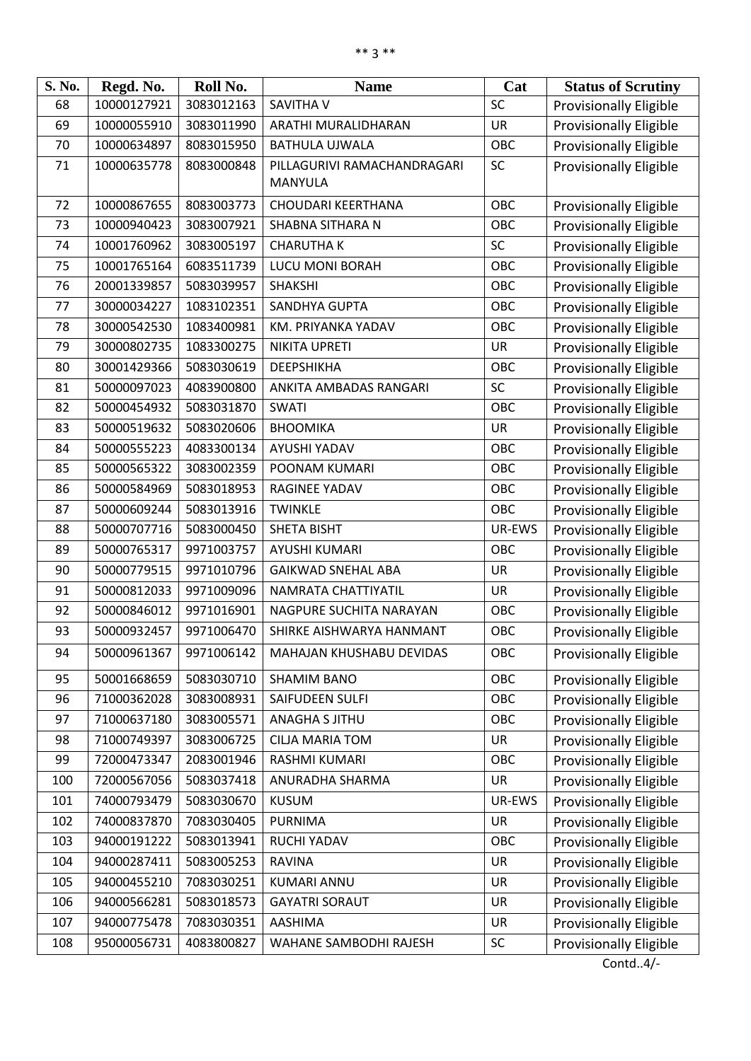| S. No. | Regd. No.   | Roll No.   | <b>Name</b>                                   | Cat       | <b>Status of Scrutiny</b>     |
|--------|-------------|------------|-----------------------------------------------|-----------|-------------------------------|
| 68     | 10000127921 | 3083012163 | <b>SAVITHA V</b>                              | SC        | <b>Provisionally Eligible</b> |
| 69     | 10000055910 | 3083011990 | ARATHI MURALIDHARAN                           | UR        | <b>Provisionally Eligible</b> |
| 70     | 10000634897 | 8083015950 | <b>BATHULA UJWALA</b>                         | OBC       | <b>Provisionally Eligible</b> |
| 71     | 10000635778 | 8083000848 | PILLAGURIVI RAMACHANDRAGARI<br><b>MANYULA</b> | SC        | <b>Provisionally Eligible</b> |
| 72     | 10000867655 | 8083003773 | <b>CHOUDARI KEERTHANA</b>                     | OBC       | <b>Provisionally Eligible</b> |
| 73     | 10000940423 | 3083007921 | <b>SHABNA SITHARA N</b>                       | OBC       | Provisionally Eligible        |
| 74     | 10001760962 | 3083005197 | <b>CHARUTHAK</b>                              | SC        | <b>Provisionally Eligible</b> |
| 75     | 10001765164 | 6083511739 | <b>LUCU MONI BORAH</b>                        | OBC       | <b>Provisionally Eligible</b> |
| 76     | 20001339857 | 5083039957 | <b>SHAKSHI</b>                                | OBC       | <b>Provisionally Eligible</b> |
| 77     | 30000034227 | 1083102351 | SANDHYA GUPTA                                 | OBC       | <b>Provisionally Eligible</b> |
| 78     | 30000542530 | 1083400981 | KM. PRIYANKA YADAV                            | OBC       | Provisionally Eligible        |
| 79     | 30000802735 | 1083300275 | <b>NIKITA UPRETI</b>                          | <b>UR</b> | <b>Provisionally Eligible</b> |
| 80     | 30001429366 | 5083030619 | <b>DEEPSHIKHA</b>                             | OBC       | <b>Provisionally Eligible</b> |
| 81     | 50000097023 | 4083900800 | ANKITA AMBADAS RANGARI                        | SC        | Provisionally Eligible        |
| 82     | 50000454932 | 5083031870 | <b>SWATI</b>                                  | OBC       | <b>Provisionally Eligible</b> |
| 83     | 50000519632 | 5083020606 | <b>BHOOMIKA</b>                               | <b>UR</b> | <b>Provisionally Eligible</b> |
| 84     | 50000555223 | 4083300134 | AYUSHI YADAV                                  | OBC       | <b>Provisionally Eligible</b> |
| 85     | 50000565322 | 3083002359 | POONAM KUMARI                                 | OBC       | <b>Provisionally Eligible</b> |
| 86     | 50000584969 | 5083018953 | RAGINEE YADAV                                 | OBC       | <b>Provisionally Eligible</b> |
| 87     | 50000609244 | 5083013916 | <b>TWINKLE</b>                                | OBC       | <b>Provisionally Eligible</b> |
| 88     | 50000707716 | 5083000450 | <b>SHETA BISHT</b>                            | UR-EWS    | <b>Provisionally Eligible</b> |
| 89     | 50000765317 | 9971003757 | <b>AYUSHI KUMARI</b>                          | OBC       | <b>Provisionally Eligible</b> |
| 90     | 50000779515 | 9971010796 | <b>GAIKWAD SNEHAL ABA</b>                     | UR        | <b>Provisionally Eligible</b> |
| 91     | 50000812033 | 9971009096 | NAMRATA CHATTIYATIL                           | <b>UR</b> | <b>Provisionally Eligible</b> |
| 92     | 50000846012 | 9971016901 | NAGPURE SUCHITA NARAYAN                       | OBC       | <b>Provisionally Eligible</b> |
| 93     | 50000932457 | 9971006470 | SHIRKE AISHWARYA HANMANT                      | OBC       | <b>Provisionally Eligible</b> |
| 94     | 50000961367 | 9971006142 | MAHAJAN KHUSHABU DEVIDAS                      | OBC       | <b>Provisionally Eligible</b> |
| 95     | 50001668659 | 5083030710 | <b>SHAMIM BANO</b>                            | OBC       | <b>Provisionally Eligible</b> |
| 96     | 71000362028 | 3083008931 | SAIFUDEEN SULFI                               | OBC       | Provisionally Eligible        |
| 97     | 71000637180 | 3083005571 | <b>ANAGHA S JITHU</b>                         | OBC       | <b>Provisionally Eligible</b> |
| 98     | 71000749397 | 3083006725 | CILJA MARIA TOM                               | UR        | <b>Provisionally Eligible</b> |
| 99     | 72000473347 | 2083001946 | RASHMI KUMARI                                 | OBC       | <b>Provisionally Eligible</b> |
| 100    | 72000567056 | 5083037418 | ANURADHA SHARMA                               | <b>UR</b> | <b>Provisionally Eligible</b> |
| 101    | 74000793479 | 5083030670 | <b>KUSUM</b>                                  | UR-EWS    | <b>Provisionally Eligible</b> |
| 102    | 74000837870 | 7083030405 | PURNIMA                                       | <b>UR</b> | <b>Provisionally Eligible</b> |
| 103    | 94000191222 | 5083013941 | RUCHI YADAV                                   | OBC       | <b>Provisionally Eligible</b> |
| 104    | 94000287411 | 5083005253 | <b>RAVINA</b>                                 | UR        | Provisionally Eligible        |
| 105    | 94000455210 | 7083030251 | <b>KUMARI ANNU</b>                            | UR        | <b>Provisionally Eligible</b> |
| 106    | 94000566281 | 5083018573 | <b>GAYATRI SORAUT</b>                         | UR        | Provisionally Eligible        |
| 107    | 94000775478 | 7083030351 | AASHIMA                                       | UR        | <b>Provisionally Eligible</b> |
| 108    | 95000056731 | 4083800827 | WAHANE SAMBODHI RAJESH                        | SC        | <b>Provisionally Eligible</b> |
|        |             |            |                                               |           | Contd4/-                      |